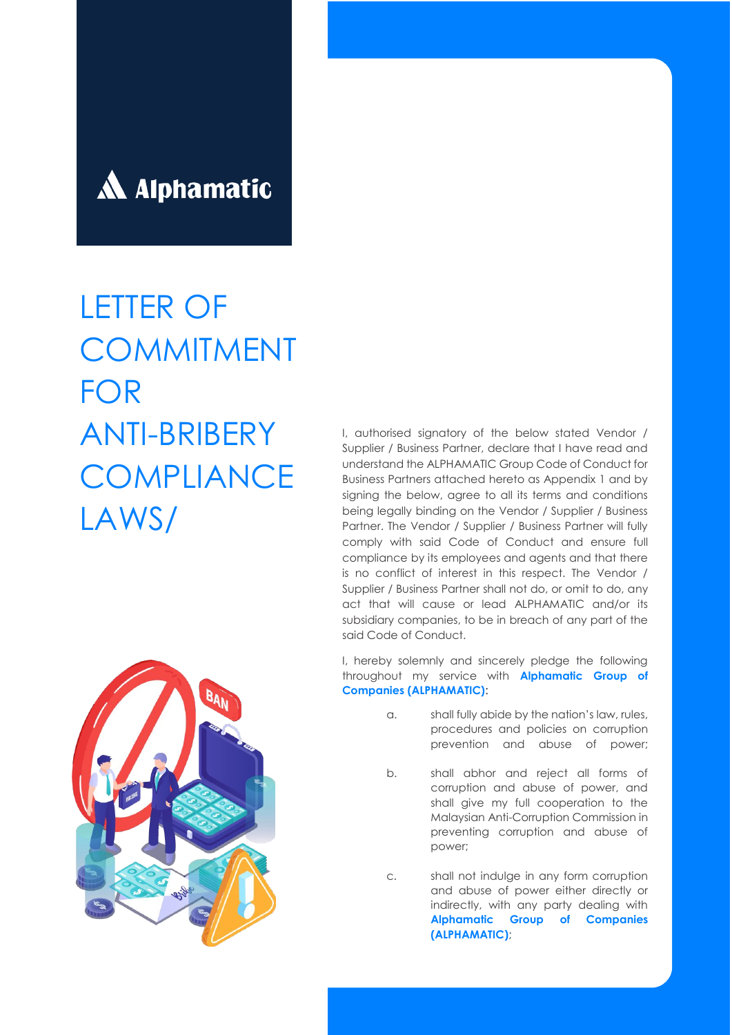

# LETTER OF **COMMITMENT** FOR ANTI-BRIBERY **COMPLIANCE** LAWS/

I, authorised signatory of the below stated Vendor / Supplier / Business Partner, declare that I have read and understand the ALPHAMATIC Group Code of Conduct for Business Partners attached hereto as Appendix 1 and by signing the below, agree to all its terms and conditions being legally binding on the Vendor / Supplier / Business Partner. The Vendor / Supplier / Business Partner will fully comply with said Code of Conduct and ensure full compliance by its employees and agents and that there is no conflict of interest in this respect. The Vendor / Supplier / Business Partner shall not do, or omit to do, any act that will cause or lead ALPHAMATIC and/or its subsidiary companies, to be in breach of any part of the said Code of Conduct.

I, hereby solemnly and sincerely pledge the following throughout my service with **Alphamatic Group of Companies (ALPHAMATIC)**:

- a. shall fully abide by the nation's law, rules, procedures and policies on corruption prevention and abuse of power;
- b. shall abhor and reject all forms of corruption and abuse of power, and shall give my full cooperation to the Malaysian Anti-Corruption Commission in preventing corruption and abuse of power;

c. shall not indulge in any form corruption and abuse of power either directly or indirectly, with any party dealing with **Alphamatic Group of Companies (ALPHAMATIC)**;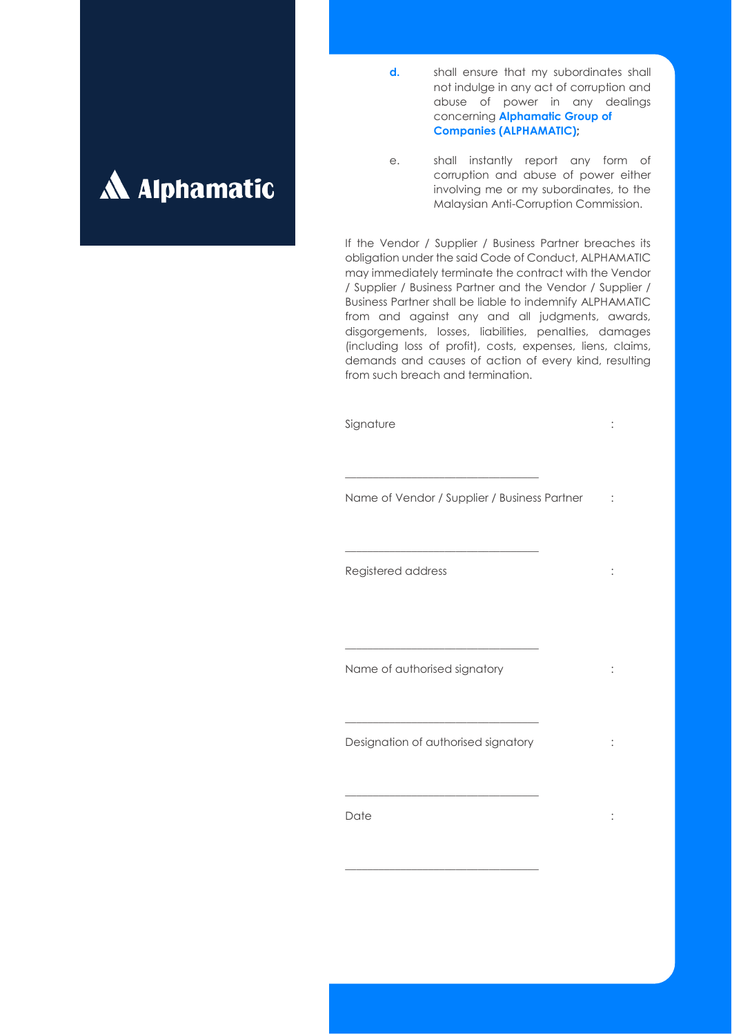

- **d.** shall ensure that my subordinates shall not indulge in any act of corruption and abuse of power in any dealings concerning **Alphamatic Group of Companies (ALPHAMATIC);**
- e. shall instantly report any form of corruption and abuse of power either involving me or my subordinates, to the Malaysian Anti-Corruption Commission.

If the Vendor / Supplier / Business Partner breaches its obligation under the said Code of Conduct, ALPHAMATIC may immediately terminate the contract with the Vendor / Supplier / Business Partner and the Vendor / Supplier / Business Partner shall be liable to indemnify ALPHAMATIC from and against any and all judgments, awards, disgorgements, losses, liabilities, penalties, damages (including loss of profit), costs, expenses, liens, claims, demands and causes of action of every kind, resulting from such breach and termination.

Signature : the state of the state of the state of the state of the state of the state of the state of the state of the state of the state of the state of the state of the state of the state of the state of the state of th

Name of Vendor / Supplier / Business Partner :

\_\_\_\_\_\_\_\_\_\_\_\_\_\_\_\_\_\_\_\_\_\_\_\_\_\_\_\_\_\_\_\_\_\_\_

\_\_\_\_\_\_\_\_\_\_\_\_\_\_\_\_\_\_\_\_\_\_\_\_\_\_\_\_\_\_\_\_\_\_\_

\_\_\_\_\_\_\_\_\_\_\_\_\_\_\_\_\_\_\_\_\_\_\_\_\_\_\_\_\_\_\_\_\_\_\_

Registered address :

Name of authorised signatory in the state of  $\sim$ 

\_\_\_\_\_\_\_\_\_\_\_\_\_\_\_\_\_\_\_\_\_\_\_\_\_\_\_\_\_\_\_\_\_\_\_ Designation of authorised signatory :

\_\_\_\_\_\_\_\_\_\_\_\_\_\_\_\_\_\_\_\_\_\_\_\_\_\_\_\_\_\_\_\_\_\_\_

\_\_\_\_\_\_\_\_\_\_\_\_\_\_\_\_\_\_\_\_\_\_\_\_\_\_\_\_\_\_\_\_\_\_\_

Date : the state of the state of the state  $\sim$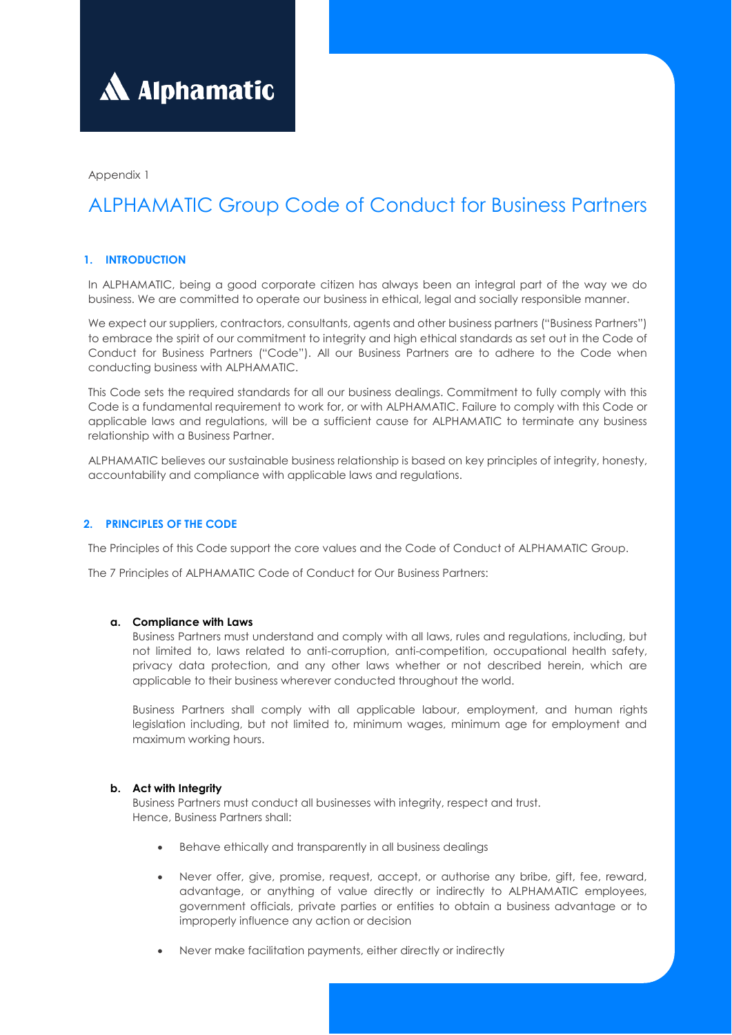

Appendix 1

# ALPHAMATIC Group Code of Conduct for Business Partners

# **1. INTRODUCTION**

In ALPHAMATIC, being a good corporate citizen has always been an integral part of the way we do business. We are committed to operate our business in ethical, legal and socially responsible manner.

We expect our suppliers, contractors, consultants, agents and other business partners ("Business Partners") to embrace the spirit of our commitment to integrity and high ethical standards as set out in the Code of Conduct for Business Partners ("Code"). All our Business Partners are to adhere to the Code when conducting business with ALPHAMATIC.

This Code sets the required standards for all our business dealings. Commitment to fully comply with this Code is a fundamental requirement to work for, or with ALPHAMATIC. Failure to comply with this Code or applicable laws and regulations, will be a sufficient cause for ALPHAMATIC to terminate any business relationship with a Business Partner.

ALPHAMATIC believes our sustainable business relationship is based on key principles of integrity, honesty, accountability and compliance with applicable laws and regulations.

# **2. PRINCIPLES OF THE CODE**

The Principles of this Code support the core values and the Code of Conduct of ALPHAMATIC Group.

The 7 Principles of ALPHAMATIC Code of Conduct for Our Business Partners:

# **a. Compliance with Laws**

Business Partners must understand and comply with all laws, rules and regulations, including, but not limited to, laws related to anti-corruption, anti-competition, occupational health safety, privacy data protection, and any other laws whether or not described herein, which are applicable to their business wherever conducted throughout the world.

Business Partners shall comply with all applicable labour, employment, and human rights legislation including, but not limited to, minimum wages, minimum age for employment and maximum working hours.

# **b. Act with Integrity**

Business Partners must conduct all businesses with integrity, respect and trust. Hence, Business Partners shall:

- Behave ethically and transparently in all business dealings
- Never offer, give, promise, request, accept, or authorise any bribe, gift, fee, reward, advantage, or anything of value directly or indirectly to ALPHAMATIC employees, government officials, private parties or entities to obtain a business advantage or to improperly influence any action or decision
- Never make facilitation payments, either directly or indirectly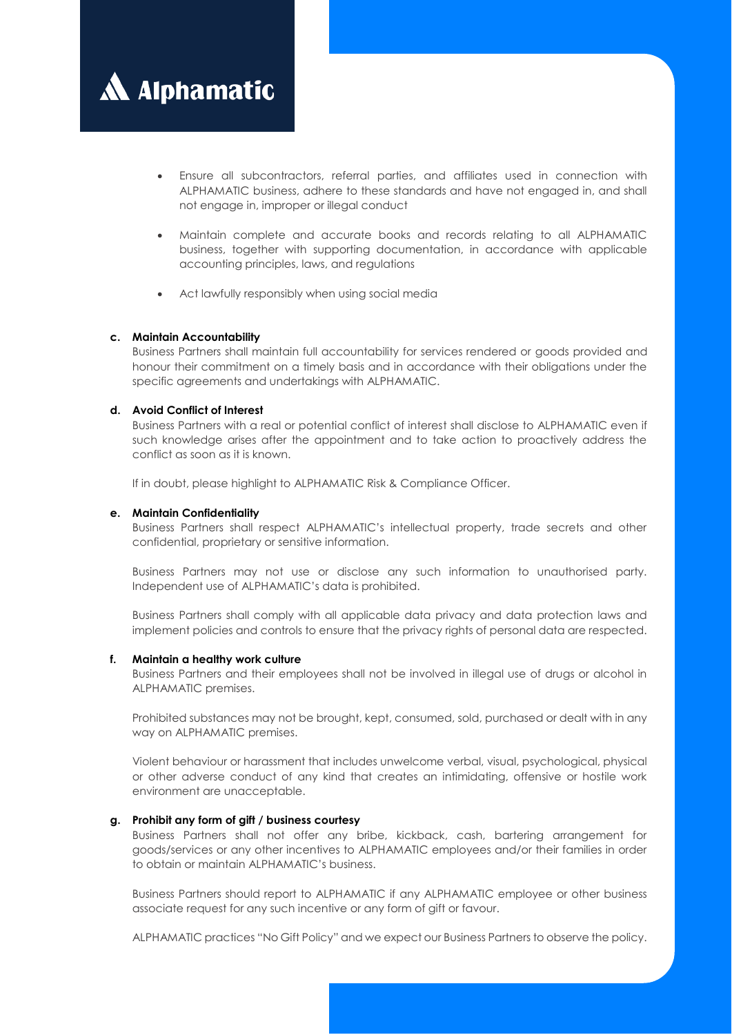

- Ensure all subcontractors, referral parties, and affiliates used in connection with ALPHAMATIC business, adhere to these standards and have not engaged in, and shall not engage in, improper or illegal conduct
- Maintain complete and accurate books and records relating to all ALPHAMATIC business, together with supporting documentation, in accordance with applicable accounting principles, laws, and regulations
- Act lawfully responsibly when using social media

#### **c. Maintain Accountability**

Business Partners shall maintain full accountability for services rendered or goods provided and honour their commitment on a timely basis and in accordance with their obligations under the specific agreements and undertakings with ALPHAMATIC.

#### **d. Avoid Conflict of Interest**

Business Partners with a real or potential conflict of interest shall disclose to ALPHAMATIC even if such knowledge arises after the appointment and to take action to proactively address the conflict as soon as it is known.

If in doubt, please highlight to ALPHAMATIC Risk & Compliance Officer.

#### **e. Maintain Confidentiality**

Business Partners shall respect ALPHAMATIC's intellectual property, trade secrets and other confidential, proprietary or sensitive information.

Business Partners may not use or disclose any such information to unauthorised party. Independent use of ALPHAMATIC's data is prohibited.

Business Partners shall comply with all applicable data privacy and data protection laws and implement policies and controls to ensure that the privacy rights of personal data are respected.

#### **f. Maintain a healthy work culture**

Business Partners and their employees shall not be involved in illegal use of drugs or alcohol in ALPHAMATIC premises.

Prohibited substances may not be brought, kept, consumed, sold, purchased or dealt with in any way on ALPHAMATIC premises.

Violent behaviour or harassment that includes unwelcome verbal, visual, psychological, physical or other adverse conduct of any kind that creates an intimidating, offensive or hostile work environment are unacceptable.

#### **g. Prohibit any form of gift / business courtesy**

Business Partners shall not offer any bribe, kickback, cash, bartering arrangement for goods/services or any other incentives to ALPHAMATIC employees and/or their families in order to obtain or maintain ALPHAMATIC's business.

Business Partners should report to ALPHAMATIC if any ALPHAMATIC employee or other business associate request for any such incentive or any form of gift or favour.

ALPHAMATIC practices "No Gift Policy" and we expect our Business Partners to observe the policy.